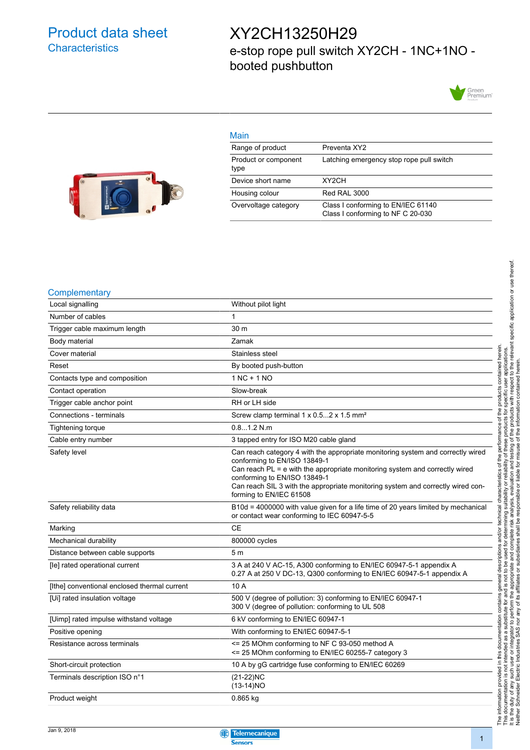### Product data sheet **Characteristics**

### XY2CH13250H29 e-stop rope pull switch XY2CH - 1NC+1NO booted pushbutton

Green<br>Premium<sup>-</sup>



| Main                         |                                                                         |
|------------------------------|-------------------------------------------------------------------------|
| Range of product             | Preventa XY2                                                            |
| Product or component<br>type | Latching emergency stop rope pull switch                                |
| Device short name            | XY <sub>2</sub> CH                                                      |
| Housing colour               | <b>Red RAL 3000</b>                                                     |
| Overvoltage category         | Class I conforming to EN/IEC 61140<br>Class I conforming to NF C 20-030 |

#### **Complementary**

| $\sim$                                       |                                                                                                                                                                                                                                                                                                                                              |  |  |
|----------------------------------------------|----------------------------------------------------------------------------------------------------------------------------------------------------------------------------------------------------------------------------------------------------------------------------------------------------------------------------------------------|--|--|
| Local signalling                             | Without pilot light                                                                                                                                                                                                                                                                                                                          |  |  |
| Number of cables                             | 1                                                                                                                                                                                                                                                                                                                                            |  |  |
| Trigger cable maximum length                 | 30 m                                                                                                                                                                                                                                                                                                                                         |  |  |
| Body material                                | Zamak                                                                                                                                                                                                                                                                                                                                        |  |  |
| Cover material                               | Stainless steel                                                                                                                                                                                                                                                                                                                              |  |  |
| Reset                                        | By booted push-button                                                                                                                                                                                                                                                                                                                        |  |  |
| Contacts type and composition                | $1NC + 1NO$                                                                                                                                                                                                                                                                                                                                  |  |  |
| Contact operation                            | Slow-break                                                                                                                                                                                                                                                                                                                                   |  |  |
| Trigger cable anchor point                   | RH or LH side                                                                                                                                                                                                                                                                                                                                |  |  |
| Connections - terminals                      | Screw clamp terminal 1 x 0.52 x 1.5 mm <sup>2</sup>                                                                                                                                                                                                                                                                                          |  |  |
| Tightening torque                            | 0.81.2 N.m                                                                                                                                                                                                                                                                                                                                   |  |  |
| Cable entry number                           | 3 tapped entry for ISO M20 cable gland                                                                                                                                                                                                                                                                                                       |  |  |
| Safety level                                 | Can reach category 4 with the appropriate monitoring system and correctly wired<br>conforming to EN/ISO 13849-1<br>Can reach PL = e with the appropriate monitoring system and correctly wired<br>conforming to EN/ISO 13849-1<br>Can reach SIL 3 with the appropriate monitoring system and correctly wired con-<br>forming to EN/IEC 61508 |  |  |
| Safety reliability data                      | B10d = 4000000 with value given for a life time of 20 years limited by mechanical<br>or contact wear conforming to IEC 60947-5-5                                                                                                                                                                                                             |  |  |
| Marking                                      | <b>CE</b>                                                                                                                                                                                                                                                                                                                                    |  |  |
| Mechanical durability                        | 800000 cycles                                                                                                                                                                                                                                                                                                                                |  |  |
| Distance between cable supports              | 5 <sub>m</sub>                                                                                                                                                                                                                                                                                                                               |  |  |
| [le] rated operational current               | 3 A at 240 V AC-15, A300 conforming to EN/IEC 60947-5-1 appendix A<br>0.27 A at 250 V DC-13, Q300 conforming to EN/IEC 60947-5-1 appendix A                                                                                                                                                                                                  |  |  |
| [Ithe] conventional enclosed thermal current | 10 A                                                                                                                                                                                                                                                                                                                                         |  |  |
| [Ui] rated insulation voltage                | 500 V (degree of pollution: 3) conforming to EN/IEC 60947-1<br>300 V (degree of pollution: conforming to UL 508                                                                                                                                                                                                                              |  |  |
| [Uimp] rated impulse withstand voltage       | 6 kV conforming to EN/IEC 60947-1                                                                                                                                                                                                                                                                                                            |  |  |
| Positive opening                             | With conforming to EN/IEC 60947-5-1                                                                                                                                                                                                                                                                                                          |  |  |
| Resistance across terminals                  | $\le$ 25 MOhm conforming to NF C 93-050 method A<br><= 25 MOhm conforming to EN/IEC 60255-7 category 3                                                                                                                                                                                                                                       |  |  |
| Short-circuit protection                     | 10 A by gG cartridge fuse conforming to EN/IEC 60269                                                                                                                                                                                                                                                                                         |  |  |
| Terminals description ISO n°1                | $(21-22)NC$<br>$(13-14)NO$                                                                                                                                                                                                                                                                                                                   |  |  |
| Product weight                               | $0.865$ kg                                                                                                                                                                                                                                                                                                                                   |  |  |

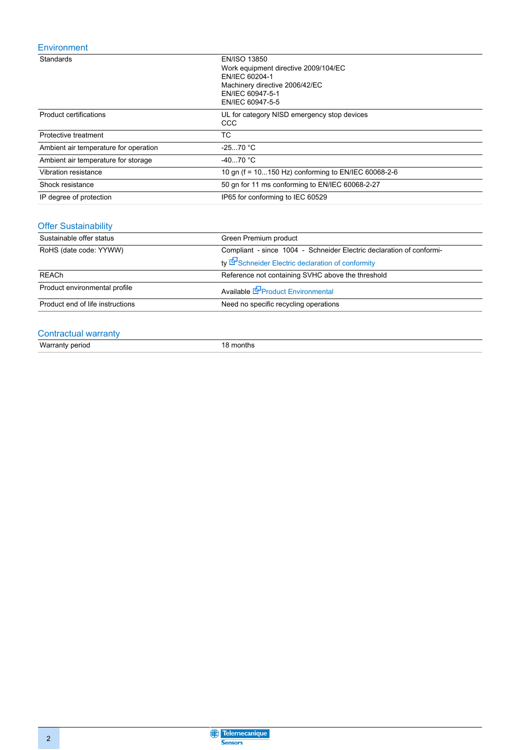### Environment

| Standards                             | EN/ISO 13850<br>Work equipment directive 2009/104/EC<br>EN/IEC 60204-1<br>Machinery directive 2006/42/EC<br>EN/IEC 60947-5-1<br>EN/IEC 60947-5-5 |  |
|---------------------------------------|--------------------------------------------------------------------------------------------------------------------------------------------------|--|
| <b>Product certifications</b>         | UL for category NISD emergency stop devices<br>CCC                                                                                               |  |
| Protective treatment                  | ТC                                                                                                                                               |  |
| Ambient air temperature for operation | $-2570 °C$                                                                                                                                       |  |
| Ambient air temperature for storage   | $-4070 °C$                                                                                                                                       |  |
| Vibration resistance                  | 10 gn (f = 10150 Hz) conforming to EN/IEC 60068-2-6                                                                                              |  |
| Shock resistance                      | 50 gn for 11 ms conforming to EN/IEC 60068-2-27                                                                                                  |  |
| IP degree of protection               | IP65 for conforming to IEC 60529                                                                                                                 |  |

### Offer Sustainability

| Sustainable offer status         | Green Premium product                                                |  |  |
|----------------------------------|----------------------------------------------------------------------|--|--|
| RoHS (date code: YYWW)           | Compliant - since 1004 - Schneider Electric declaration of conformi- |  |  |
|                                  | ty Schneider Electric declaration of conformity                      |  |  |
| <b>REACh</b>                     | Reference not containing SVHC above the threshold                    |  |  |
| Product environmental profile    | Available <b>S</b> Product Environmental                             |  |  |
| Product end of life instructions | Need no specific recycling operations                                |  |  |

### Contractual warranty

Warranty period 18 months

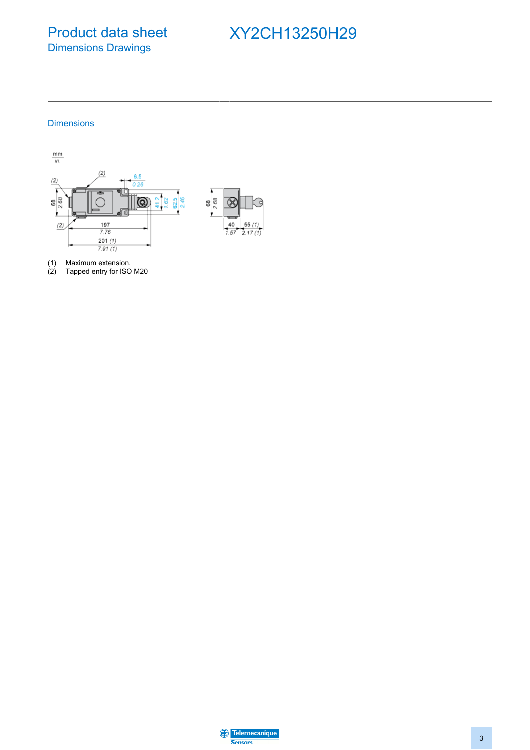Product data sheet Dimensions Drawings

# XY2CH13250H29

### **Dimensions**



(1) Maximum extension.

(2) Tapped entry for ISO M20